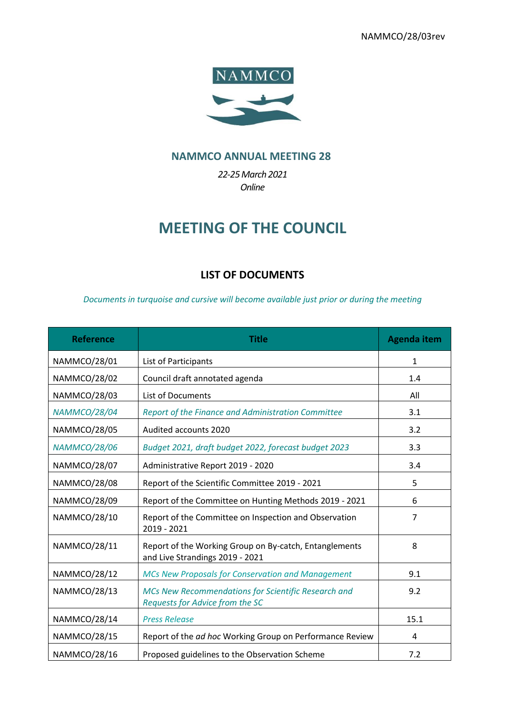

## **NAMMCO ANNUAL MEETING 28**

*22-25March 2021 Online*

## **MEETING OF THE COUNCIL**

## **LIST OF DOCUMENTS**

*Documents in turquoise and cursive will become available just prior or during the meeting*

| <b>Reference</b>    | Title                                                                                     | <b>Agenda item</b> |
|---------------------|-------------------------------------------------------------------------------------------|--------------------|
| NAMMCO/28/01        | List of Participants                                                                      | 1                  |
| NAMMCO/28/02        | Council draft annotated agenda                                                            | 1.4                |
| NAMMCO/28/03        | <b>List of Documents</b>                                                                  | All                |
| <b>NAMMCO/28/04</b> | Report of the Finance and Administration Committee                                        | 3.1                |
| NAMMCO/28/05        | Audited accounts 2020                                                                     | 3.2                |
| <b>NAMMCO/28/06</b> | Budget 2021, draft budget 2022, forecast budget 2023                                      | 3.3                |
| NAMMCO/28/07        | Administrative Report 2019 - 2020                                                         | 3.4                |
| <b>NAMMCO/28/08</b> | Report of the Scientific Committee 2019 - 2021                                            | 5                  |
| NAMMCO/28/09        | Report of the Committee on Hunting Methods 2019 - 2021                                    | 6                  |
| NAMMCO/28/10        | Report of the Committee on Inspection and Observation<br>2019 - 2021                      | $\overline{7}$     |
| NAMMCO/28/11        | Report of the Working Group on By-catch, Entanglements<br>and Live Strandings 2019 - 2021 | 8                  |
| NAMMCO/28/12        | <b>MCs New Proposals for Conservation and Management</b>                                  | 9.1                |
| NAMMCO/28/13        | MCs New Recommendations for Scientific Research and<br>Requests for Advice from the SC    | 9.2                |
| NAMMCO/28/14        | <b>Press Release</b>                                                                      | 15.1               |
| NAMMCO/28/15        | Report of the ad hoc Working Group on Performance Review                                  | 4                  |
| NAMMCO/28/16        | Proposed guidelines to the Observation Scheme                                             | 7.2                |